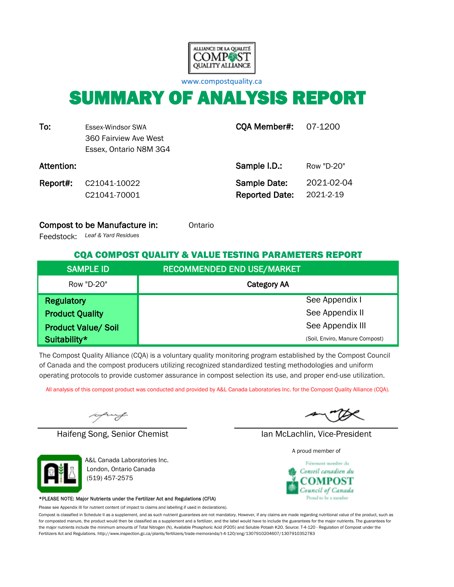

[w](http://www.compostquality.ca/)ww.compostquality.ca

# SUMMARY OF ANALYSIS REPORT

| To:        | Essex-Windsor SWA<br>360 Fairview Ave West<br>Essex, Ontario N8M 3G4 | <b>CQA Member#: 07-1200</b>           |                         |
|------------|----------------------------------------------------------------------|---------------------------------------|-------------------------|
| Attention: |                                                                      | Sample I.D.:                          | Row "D-20"              |
| Report#:   | C21041-10022<br>C21041-70001                                         | Sample Date:<br><b>Reported Date:</b> | 2021-02-04<br>2021-2-19 |

#### **Compost to be Manufacture in:** Ontario

*Leaf & Yard Residues* Feedstock:

#### CQA COMPOST QUALITY & VALUE TESTING PARAMETERS REPORT

| <b>SAMPLE ID</b>           | <b>RECOMMENDED END USE/MARKET</b> |
|----------------------------|-----------------------------------|
| Row "D-20"                 | <b>Category AA</b>                |
| <b>Regulatory</b>          | See Appendix I                    |
| <b>Product Quality</b>     | See Appendix II                   |
| <b>Product Value/ Soil</b> | See Appendix III                  |
| Suitability*               | (Soil, Enviro, Manure Compost)    |

The Compost Quality Alliance (CQA) is a voluntary quality monitoring program established by the Compost Council of Canada and the compost producers utilizing recognized standardized testing methodologies and uniform operating protocols to provide customer assurance in compost selection its use, and proper end-use utilization.

All analysis of this compost product was conducted and provided by A&L Canada Laboratories Inc. for the Compost Quality Alliance (CQA).

uy

Haifeng Song, Senior Chemist Ian McLachlin, Vice-President



A&L Canada Laboratories Inc. London, Ontario Canada (519) 457-2575

#### \*PLEASE NOTE: Major Nutrients under the Fertilizer Act and Regulations (CFIA)

Please see Appendix III for nutrient content (of impact to claims and labelling if used in declarations).

Compost is classified in Schedule II as a supplement, and as such nutrient guarantees are not mandatory. However, if any claims are made regarding nutritional value of the product, such as for composted manure, the product would then be classified as a supplement and a fertilizer, and the label would have to include the guarantees for the major nutrients. The guarantees for the major nutrients include the minimum amounts of Total Nitrogen (N), Available Phosphoric Acid (P2O5) and Soluble Potash K2O. Source: T-4-120 - Regulation of Compost under the Fertilizers Act and Regulations. http://www.inspection.gc.ca/plants/fertilizers/trade-memoranda/t-4-120/eng/1307910204607/1307910352783

A proud member of

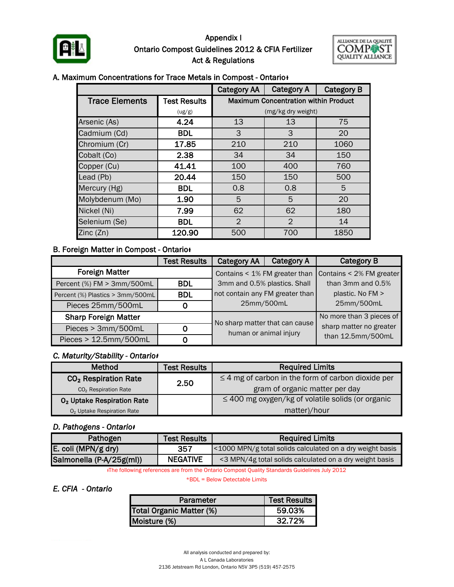

#### Ontario Compost Guidelines 2012 & CFIA Fertilizer Act & Regulations Appendix I



#### A. Maximum Concentrations for Trace Metals in Compost - Ontario<sup>+</sup>

|                       |                     | <b>Category AA</b>                          | <b>Category A</b>  | <b>Category B</b> |  |  |  |
|-----------------------|---------------------|---------------------------------------------|--------------------|-------------------|--|--|--|
| <b>Trace Elements</b> | <b>Test Results</b> | <b>Maximum Concentration within Product</b> |                    |                   |  |  |  |
|                       | (ug/g)              |                                             | (mg/kg dry weight) |                   |  |  |  |
| Arsenic (As)          | 4.24                | 13                                          | 13                 | 75                |  |  |  |
| Cadmium (Cd)          | <b>BDL</b>          | 3                                           | 3                  | 20                |  |  |  |
| Chromium (Cr)         | 17.85               | 210                                         | 210                | 1060              |  |  |  |
| Cobalt (Co)           | 2.38                | 34                                          | 34                 | 150               |  |  |  |
| Copper (Cu)           | 41.41               | 100                                         | 400                | 760               |  |  |  |
| Lead (Pb)             | 20.44               | 150                                         | 150                | 500               |  |  |  |
| Mercury (Hg)          | <b>BDL</b>          | 0.8                                         | 0.8                | 5                 |  |  |  |
| Molybdenum (Mo)       | 1.90                | 5                                           | 20                 |                   |  |  |  |
| Nickel (Ni)           | 7.99                | 62                                          | 62                 | 180               |  |  |  |
| Selenium (Se)         | <b>BDL</b>          | $\overline{2}$                              | $\overline{2}$     | 14                |  |  |  |
| Zinc(Zn)              | 120.90              | 500                                         | 700                | 1850              |  |  |  |

#### **B. Foreign Matter in Compost - Ontario**

|                                  | <b>Category A</b><br><b>Test Results</b><br><b>Category AA</b> |                                 |  | <b>Category B</b>        |  |
|----------------------------------|----------------------------------------------------------------|---------------------------------|--|--------------------------|--|
| <b>Foreign Matter</b>            |                                                                | Contains < 1% FM greater than   |  | Contains < 2% FM greater |  |
| Percent (%) FM > 3mm/500mL       | BDL.                                                           | 3mm and 0.5% plastics. Shall    |  | than 3mm and 0.5%        |  |
| Percent (%) Plastics > 3mm/500mL | <b>BDL</b>                                                     | not contain any FM greater than |  | plastic. No FM >         |  |
| Pieces 25mm/500mL                | Ο                                                              | 25mm/500mL                      |  | 25mm/500mL               |  |
| <b>Sharp Foreign Matter</b>      |                                                                |                                 |  | No more than 3 pieces of |  |
| Pieces > 3mm/500mL               | 0                                                              | No sharp matter that can cause  |  | sharp matter no greater  |  |
| Pieces > 12.5mm/500mL<br>O       |                                                                | human or animal injury          |  | than 12.5mm/500mL        |  |

#### *C. Maturity/Stability - Ontarioᵻ*

| <b>Method</b>                          | <b>Test Results</b> | <b>Required Limits</b>                                  |  |  |  |
|----------------------------------------|---------------------|---------------------------------------------------------|--|--|--|
| CO <sub>2</sub> Respiration Rate       | 2.50                | $\leq$ 4 mg of carbon in the form of carbon dioxide per |  |  |  |
| CO <sub>2</sub> Respiration Rate       |                     | gram of organic matter per day                          |  |  |  |
| O <sub>2</sub> Uptake Respiration Rate |                     | $\leq$ 400 mg oxygen/kg of volatile solids (or organic  |  |  |  |
| O <sub>2</sub> Uptake Respiration Rate |                     | matter)/hour                                            |  |  |  |

#### *D. Pathogens - Ontarioᵻ*

| Pathogen                 | <b>Test Results</b> | <b>Required Limits</b>                                    |  |  |  |
|--------------------------|---------------------|-----------------------------------------------------------|--|--|--|
| E. coli (MPN/g dry)      | 357                 | <1000 MPN/g total solids calculated on a dry weight basis |  |  |  |
| Salmonella (P-A/25g(ml)) | <b>NEGATIVE</b>     | <3 MPN/4g total solids calculated on a dry weight basis   |  |  |  |

ᵻThe following references are from the Ontario Compost Quality Standards Guidelines July 2012

\*BDL = Below Detectable Limits

#### *E. CFIA - Ontario*

| Parameter                | <b>Test Results</b> |
|--------------------------|---------------------|
| Total Organic Matter (%) | 59.03%              |
| Moisture (%)             | 32.72%              |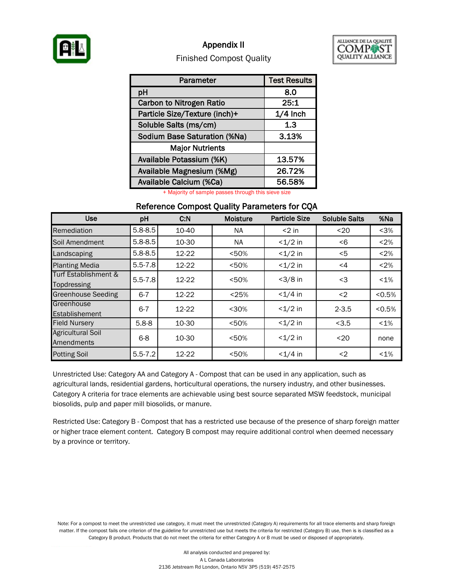

#### Appendix II



#### Finished Compost Quality

| Parameter                           | <b>Test Results</b> |
|-------------------------------------|---------------------|
| pH                                  | 8.0                 |
| <b>Carbon to Nitrogen Ratio</b>     | 25:1                |
| Particle Size/Texture (inch)+       | $1/4$ Inch          |
| Soluble Salts (ms/cm)               | 1.3                 |
| <b>Sodium Base Saturation (%Na)</b> | 3.13%               |
| <b>Major Nutrients</b>              |                     |
| Available Potassium (%K)            | 13.57%              |
| Available Magnesium (%Mg)           | 26.72%              |
| Available Calcium (%Ca)             | 56.58%              |

+ Majority of sample passes through this sieve size

#### Reference Compost Quality Parameters for CQA

| <b>Use</b>                             | pH          |       | <b>Moisture</b> | <b>Particle Size</b> | <b>Soluble Salts</b> | %Na     |
|----------------------------------------|-------------|-------|-----------------|----------------------|----------------------|---------|
| Remediation                            | $5.8 - 8.5$ | 10-40 | NA.             | $<$ 2 in             | $20$                 | < 3%    |
| Soil Amendment                         | $5.8 - 8.5$ | 10-30 | NA.             | $<1/2$ in            | -6                   | < 2%    |
| Landscaping                            | $5.8 - 8.5$ | 12-22 | < 50%           | $<1/2$ in            | <5                   | < 2%    |
| <b>Planting Media</b>                  | $5.5 - 7.8$ | 12-22 | < 50%           | $<1/2$ in            | <4                   | < 2%    |
| Turf Establishment &<br>Topdressing    | $5.5 - 7.8$ | 12-22 | < 50%           | $<$ 3/8 in           | $3$                  | $< 1\%$ |
| <b>Greenhouse Seeding</b>              | $6 - 7$     | 12-22 | < 25%           | $< 1/4$ in           | $2$                  | < 0.5%  |
| Greenhouse<br>Establishement           | $6 - 7$     | 12-22 | < 30%           | $<1/2$ in            | $2 - 3.5$            | < 0.5%  |
| <b>Field Nursery</b>                   | $5.8 - 8$   | 10-30 | < 50%           | $<1/2$ in            | < 3.5                | $< 1\%$ |
| <b>Agricultural Soil</b><br>Amendments | $6 - 8$     | 10-30 | < 50%           | $<1/2$ in            | $20$                 | none    |
| <b>Potting Soil</b>                    | $5.5 - 7.2$ | 12-22 | < 50%           | $< 1/4$ in           | $2$                  | $< 1\%$ |

Unrestricted Use: Category AA and Category A - Compost that can be used in any application, such as agricultural lands, residential gardens, horticultural operations, the nursery industry, and other businesses. Category A criteria for trace elements are achievable using best source separated MSW feedstock, municipal biosolids, pulp and paper mill biosolids, or manure.

Restricted Use: Category B - Compost that has a restricted use because of the presence of sharp foreign matter or higher trace element content. Category B compost may require additional control when deemed necessary by a province or territory.

Note: For a compost to meet the unrestricted use category, it must meet the unrestricted (Category A) requirements for all trace elements and sharp foreign matter. If the compost fails one criterion of the guideline for unrestricted use but meets the criteria for restricted (Category B) use, then is is classified as a Category B product. Products that do not meet the criteria for either Category A or B must be used or disposed of appropriately.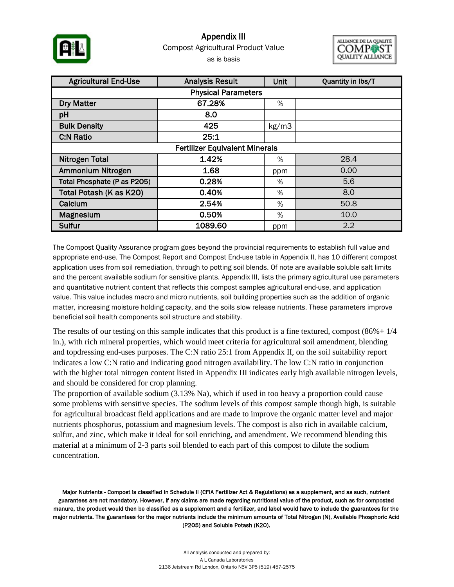

### Compost Agricultural Product Value as is basis Appendix III



| <b>Agricultural End-Use</b>           | Unit    | Quantity in lbs/T |      |  |  |  |  |  |  |
|---------------------------------------|---------|-------------------|------|--|--|--|--|--|--|
| <b>Physical Parameters</b>            |         |                   |      |  |  |  |  |  |  |
| <b>Dry Matter</b>                     | 67.28%  | %                 |      |  |  |  |  |  |  |
| pH                                    | 8.0     |                   |      |  |  |  |  |  |  |
| <b>Bulk Density</b>                   | 425     | kg/m3             |      |  |  |  |  |  |  |
| <b>C:N Ratio</b>                      | 25:1    |                   |      |  |  |  |  |  |  |
| <b>Fertilizer Equivalent Minerals</b> |         |                   |      |  |  |  |  |  |  |
| <b>Nitrogen Total</b>                 | 1.42%   | $\%$              | 28.4 |  |  |  |  |  |  |
| Ammonium Nitrogen                     | 1.68    | ppm               | 0.00 |  |  |  |  |  |  |
| Total Phosphate (P as P205)           | 0.28%   | %                 | 5.6  |  |  |  |  |  |  |
| Total Potash (K as K20)               | 0.40%   | %                 | 8.0  |  |  |  |  |  |  |
| Calcium                               | 2.54%   | %                 | 50.8 |  |  |  |  |  |  |
| Magnesium                             | 0.50%   | %                 | 10.0 |  |  |  |  |  |  |
| Sulfur                                | 1089.60 | ppm               | 2.2  |  |  |  |  |  |  |

The Compost Quality Assurance program goes beyond the provincial requirements to establish full value and appropriate end-use. The Compost Report and Compost End-use table in Appendix II, has 10 different compost application uses from soil remediation, through to potting soil blends. Of note are available soluble salt limits and the percent available sodium for sensitive plants. Appendix III, lists the primary agricultural use parameters and quantitative nutrient content that reflects this compost samples agricultural end-use, and application value. This value includes macro and micro nutrients, soil building properties such as the addition of organic matter, increasing moisture holding capacity, and the soils slow release nutrients. These parameters improve beneficial soil health components soil structure and stability.

The results of our testing on this sample indicates that this product is a fine textured, compost  $(86\% + 1/4)$ in.), with rich mineral properties, which would meet criteria for agricultural soil amendment, blending and topdressing end-uses purposes. The C:N ratio 25:1 from Appendix II, on the soil suitability report indicates a low C:N ratio and indicating good nitrogen availability. The low C:N ratio in conjunction with the higher total nitrogen content listed in Appendix III indicates early high available nitrogen levels, and should be considered for crop planning.

The proportion of available sodium (3.13% Na), which if used in too heavy a proportion could cause some problems with sensitive species. The sodium levels of this compost sample though high, is suitable for agricultural broadcast field applications and are made to improve the organic matter level and major nutrients phosphorus, potassium and magnesium levels. The compost is also rich in available calcium, sulfur, and zinc, which make it ideal for soil enriching, and amendment. We recommend blending this material at a minimum of 2-3 parts soil blended to each part of this compost to dilute the sodium concentration.

Major Nutrients - Compost is classified in Schedule II (CFIA Fertilizer Act & Regulations) as a supplement, and as such, nutrient guarantees are not mandatory. However, if any claims are made regarding nutritional value of the product, such as for composted manure, the product would then be classified as a supplement and a fertilizer, and label would have to include the guarantees for the major nutrients. The guarantees for the major nutrients include the minimum amounts of Total Nitrogen (N), Available Phosphoric Acid (P2O5) and Soluble Potash (K2O).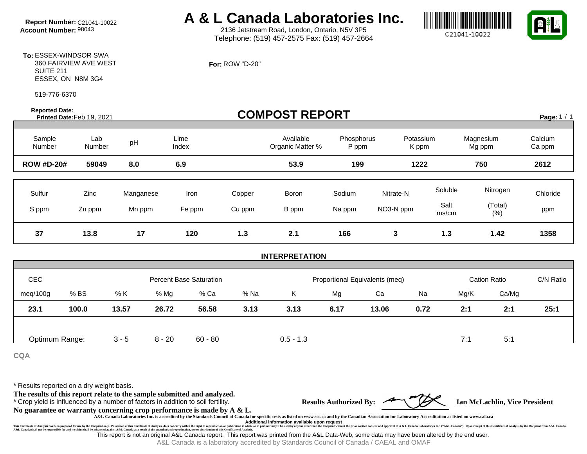# **Report Number:** C21041-10022 **A & L Canada Laboratories Inc.**<br>Account Number: 98043 **A & L** 2136 Jetstream Road, London, Ontario, N5V 3P5

2136 Jetstream Road, London, Ontario, N5V 3P5 Telephone: (519) 457-2575 Fax: (519) 457-2664

**For:** ROW "D-20"





**To:** ESSEX-WINDSOR SWA 360 FAIRVIEW AVE WEST SUITE 211 ESSEX, ON N8M 3G4

519-776-6370

**Reported Date: Prorted Date:** Printed Date: **Printed Date: Printed Date: Printed Date: Printed Date: Printed Date: Printed Date: Printed Date: Printed Date: Printed Date: Printed Date: Printed Date: Printed Date: Pri** 

Page:  $1 / 1$ 

| Sample<br>Number  | Lab<br>Number  | pH                  | Lime<br>Index  |                  | Available<br>Organic Matter % | Phosphorus<br>P ppm | Potassium<br>K ppm     |                          | Magnesium<br>Mg ppm         | Calcium<br>Ca ppm |
|-------------------|----------------|---------------------|----------------|------------------|-------------------------------|---------------------|------------------------|--------------------------|-----------------------------|-------------------|
| <b>ROW #D-20#</b> | 59049          | 8.0                 | 6.9            |                  | 53.9                          | 199                 | 1222                   |                          | 750                         | 2612              |
| Sulfur<br>S ppm   | Zinc<br>Zn ppm | Manganese<br>Mn ppm | Iron<br>Fe ppm | Copper<br>Cu ppm | Boron<br>B ppm                | Sodium<br>Na ppm    | Nitrate-N<br>NO3-N ppm | Soluble<br>Salt<br>ms/cm | Nitrogen<br>(Total)<br>(% ) | Chloride<br>ppm   |
| 37                | 13.8           | 17                  | 120            | 1.3              | 2.1                           | 166                 | 3                      | 1.3                      | 1.42                        | 1358              |

#### **INTERPRETATION**

| <b>CEC</b>     |       | <b>Percent Base Saturation</b> |          |         |      | Proportional Equivalents (meq) |      |       |      | <b>Cation Ratio</b> |       | C/N Ratio |
|----------------|-------|--------------------------------|----------|---------|------|--------------------------------|------|-------|------|---------------------|-------|-----------|
| meq/100g       | % BS  | % K                            | % Mg     | % Ca    | % Na | Κ                              | Mg   | Ca    | Na   | Mg/K                | Ca/Mg |           |
| 23.1           | 100.0 | 13.57                          | 26.72    | 56.58   | 3.13 | 3.13                           | 6.17 | 13.06 | 0.72 | 2:1                 | 2:1   | 25:1      |
|                |       |                                |          |         |      |                                |      |       |      |                     |       |           |
| Optimum Range: |       | $3 - 5$                        | $8 - 20$ | 60 - 80 |      | $0.5 - 1.3$                    |      |       |      | 7:                  | 5:1   |           |

**CQA**

\* Results reported on a dry weight basis.

**The results of this report relate to the sample submitted and analyzed.** 

\* Crop yield is influenced by a number of factors in addition to soil fertility. **Results Authorized By: Ian McLachlin, Vice President**

**No guarantee or warranty concerning crop performance is made by A & L.**

**A&L Canada Laboratories Inc. is accredited by the Standards Council of Canada for specific tests as listed on www.scc.ca and by the Canadian Association for Laboratory Accreditation as listed on www.cala.ca Additional information available upon request**

This Certificate of Annusian benefor the Substituted in the Substitute of the Certificate of Indivist, does not carry with the right to report content of the main there is to expect any with the right of the main the right dvanced against A&L Canada as a result of the unauthorized reproduction, use or distribution of this Critificate of Analysis. The computation of the A&L Data-Web, some data may have been altered by the end user.

A&L Canada is a laboratory accredited by Standards Council of Canada / CAEAL and OMAF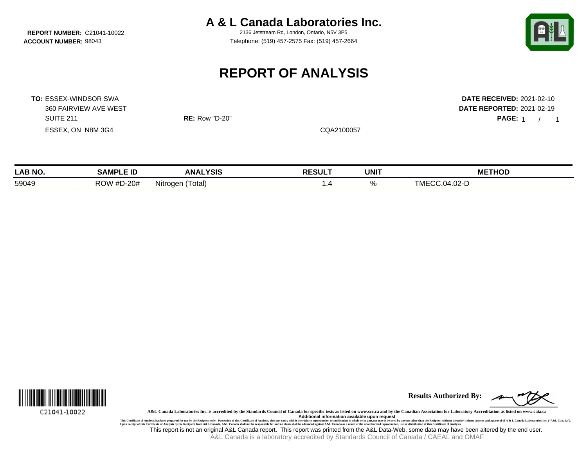**A & L Canada Laboratories Inc.**

**REPORT NUMBER:** C21041-10022 2136 Jetstream Rd, London, Ontario, N5V 3P5 **ACCOUNT NUMBER:** 98043 Telephone: (519) 457-2575 Fax: (519) 457-2664



PAGE: 1 / 1

## **REPORT OF ANALYSIS**

**TO:** ESSEX-WINDSOR SWA **DATE RECEIVED:** 2021-02-10 360 FAIRVIEW AVE WEST **DATE REPORTED:** 2021-02-19 SUITE 211 **RE:** Row "D-20" **PAGE:** 1 / ESSEX, ON N8M 3G4 CQA2100057

| <b>LAB NO.</b> | .                         | YSIS<br><b>ANA</b> | <b>RESULT</b> | <b>UNIT</b> | THOD<br>МE                                |
|----------------|---------------------------|--------------------|---------------|-------------|-------------------------------------------|
| 59049          | מח<br>D-20#<br>$\bm{\pi}$ | Nitrogen<br>otal)  |               |             | $\sim$<br>$\mathcal{L}$<br>. IVII<br>JZ-' |



**Results Authorized By:**

**A&L Canada Laboratories Inc. is accredited by the Standards Council of Canada for specific tests as listed on www.scc.ca and by the Canadian Association for Laboratory Accreditation as listed on www.cala.ca**

This Certificate of Analysis has been prepared for use by the Recipient only. Possession of this Certificate of Analysis, does not carry with ithe right to republication available upon request<br>Upon receipt of this Certific This report is not an original A&L Canada report. This report was printed from the A&L Data-Web, some data may have been altered by the end user.

A&L Canada is a laboratory accredited by Standards Council of Canada / CAEAL and OMAF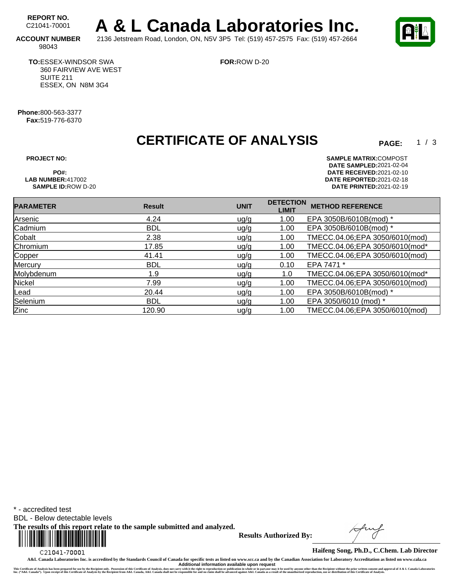REPORT NO.<br>C21041-70001 A & L Canada Laboratories Inc. **ACCOUNT NUMBER** 2136 Jetstream Road, London, ON, N5V 3P5 Tel: (519) 457-2575 Fax: (519) 457-2664

**FOR:**ROW D-20

98043

**TO:**ESSEX-WINDSOR SWA 360 FAIRVIEW AVE WEST SUITE 211 ESSEX, ON N8M 3G4

**Phone:**800-563-3377 **Fax:**519-776-6370

**CERTIFICATE OF ANALYSIS** 

 $1 / 3$ 

**PROJECT NO: SAMPLE MATRIX:** COMPOST **DATE SAMPLED:** 2021-02-04 **PO#: DATE RECEIVED:**2021-02-10 **LAB NUMBER:**417002 **DATE REPORTED:**2021-02-18 **SAMPLE ID:**ROW D-20 **DATE PRINTED:**2021-02-19

| <b>PARAMETER</b> | <b>Result</b> | <b>UNIT</b> | <b>DETECTION</b><br><b>LIMIT</b> | <b>METHOD REFERENCE</b>        |
|------------------|---------------|-------------|----------------------------------|--------------------------------|
| Arsenic          | 4.24          | u g/g       | 1.00                             | EPA 3050B/6010B(mod) *         |
| Cadmium          | <b>BDL</b>    | uq/q        | 1.00                             | EPA 3050B/6010B(mod) *         |
| Cobalt           | 2.38          | ug/g        | 1.00                             | TMECC.04.06;EPA 3050/6010(mod) |
| Chromium         | 17.85         | ug/g        | 1.00                             | TMECC.04.06;EPA 3050/6010(mod* |
| Copper           | 41.41         | ug/g        | 1.00                             | TMECC.04.06;EPA 3050/6010(mod) |
| Mercury          | <b>BDL</b>    | ug/g        | 0.10                             | EPA 7471 *                     |
| Molybdenum       | 1.9           | uq/q        | 1.0                              | TMECC.04.06;EPA 3050/6010(mod* |
| Nickel           | 7.99          | ug/g        | 1.00                             | TMECC.04.06;EPA 3050/6010(mod) |
| Lead             | 20.44         | ug/g        | 1.00                             | EPA 3050B/6010B(mod) *         |
| Selenium         | <b>BDL</b>    | ug/g        | 1.00                             | EPA 3050/6010 (mod) *          |
| Zinc             | 120.90        | ug/g        | 1.00                             | TMECC.04.06;EPA 3050/6010(mod) |
|                  |               |             |                                  |                                |

\* - accredited test

BDL - Below detectable levels

**The results of this report relate to the sample submitted and analyzed.** 



**Results Authorized By:**

**Haifeng Song, Ph.D., C.Chem. Lab Director**

**A&L Canada Laboratories Inc. is accredited by the Standards Council of Canada for specific tests as listed on www.scc.ca and by the Canadian Association for Laboratory Accreditation as listed on www.cala.ca** Additional information available upon request<br>This Certificate of Analysis has been prepared for use by the Recipient only. Possession of this Certificate of Analysis, does not carry with the right to reproduction or publi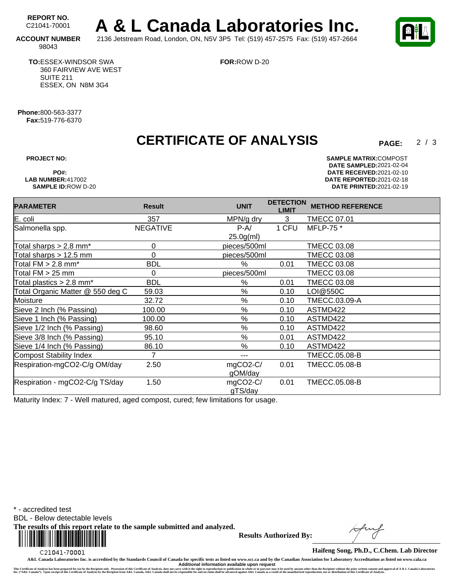REPORT NO.<br>C21041-70001 A & L Canada Laboratories Inc. **ACCOUNT NUMBER** 2136 Jetstream Road, London, ON, N5V 3P5 Tel: (519) 457-2575 Fax: (519) 457-2664

 $2/3$ 

98043

**TO:**ESSEX-WINDSOR SWA 360 FAIRVIEW AVE WEST SUITE 211 ESSEX, ON N8M 3G4

**FOR:**ROW D-20

**Phone:**800-563-3377 **Fax:**519-776-6370

### **CERTIFICATE OF ANALYSIS**

**PROJECT NO: SAMPLE MATRIX:** COMPOST **DATE SAMPLED:** 2021-02-04 **PO#: DATE RECEIVED:**2021-02-10 **LAB NUMBER:**417002 **DATE REPORTED:**2021-02-18 **SAMPLE ID:**ROW D-20 **DATE PRINTED:**2021-02-19

| <b>PARAMETER</b>                       | <b>Result</b>   | <b>UNIT</b>  | <b>DETECTION</b><br><b>LIMIT</b> | <b>METHOD REFERENCE</b> |
|----------------------------------------|-----------------|--------------|----------------------------------|-------------------------|
| E. coli                                | 357             | MPN/g dry    | 3                                | <b>TMECC 07.01</b>      |
| Salmonella spp.                        | <b>NEGATIVE</b> | $P-A/$       | 1 CFU                            | MFLP-75 *               |
|                                        |                 | $25.0g$ (ml) |                                  |                         |
| Total sharps $> 2.8$ mm <sup>*</sup>   | 0               | pieces/500ml |                                  | <b>TMECC 03.08</b>      |
| Total sharps $> 12.5$ mm               | $\Omega$        | pieces/500ml |                                  | <b>TMECC 03.08</b>      |
| Total $FM > 2.8$ mm*                   | <b>BDL</b>      | %            | 0.01                             | <b>TMECC 03.08</b>      |
| Total $FM > 25$ mm                     | 0               | pieces/500ml |                                  | <b>TMECC 03.08</b>      |
| Total plastics $> 2.8$ mm <sup>*</sup> | <b>BDL</b>      | %            | 0.01                             | <b>TMECC 03.08</b>      |
| Total Organic Matter @ 550 deg C       | 59.03           | $\%$         | 0.10                             | LOI@550C                |
| Moisture                               | 32.72           | %            | 0.10                             | TMECC.03.09-A           |
| Sieve 2 Inch (% Passing)               | 100.00          | %            | 0.10                             | ASTMD422                |
| Sieve 1 Inch (% Passing)               | 100.00          | %            | 0.10                             | ASTMD422                |
| Sieve 1/2 Inch (% Passing)             | 98.60           | %            | 0.10                             | ASTMD422                |
| Sieve 3/8 Inch (% Passing)             | 95.10           | %            | 0.01                             | ASTMD422                |
| Sieve 1/4 Inch (% Passing)             | 86.10           | %            | 0.10                             | ASTMD422                |
| Compost Stability Index                | 7               | ---          |                                  | <b>TMECC.05.08-B</b>    |
| Respiration-mgCO2-C/g OM/day           | 2.50            | mgCO2-C/     | 0.01                             | <b>TMECC.05.08-B</b>    |
|                                        |                 | gOM/day      |                                  |                         |
| Respiration - mgCO2-C/g TS/day         | 1.50            | mgCO2-C/     | 0.01                             | TMECC.05.08-B           |
|                                        |                 | gTS/day      |                                  |                         |

Maturity Index: 7 - Well matured, aged compost, cured; few limitations for usage.

\* - accredited test

BDL - Below detectable levels

**The results of this report relate to the sample submitted and analyzed.** 



**Results Authorized By:**

**Haifeng Song, Ph.D., C.Chem. Lab Director**

**A&L Canada Laboratories Inc. is accredited by the Standards Council of Canada for specific tests as listed on www.scc.ca and by the Canadian Association for Laboratory Accreditation as listed on www.cala.ca** Additional information available upon request<br>This Certificate of Analysis has been prepared for use by the Recipient only. Possession of this Certificate of Analysis, does not carry with the right to reproduction or publi